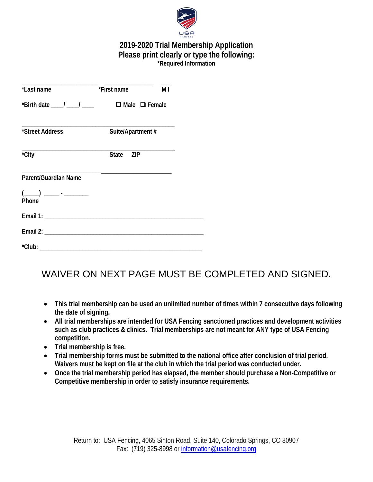

# **2019-2020 Trial Membership Application Please print clearly or type the following: \*Required Information**

| et name and the set of the set of the set of the set of the set of the set of the set of the set of the set of<br>$\overline{M}$ is the set of the set of the set of the set of the set of the set of the set of the set of the set of<br>*Last name                                                                                                         |                                                                                   |  |
|--------------------------------------------------------------------------------------------------------------------------------------------------------------------------------------------------------------------------------------------------------------------------------------------------------------------------------------------------------------|-----------------------------------------------------------------------------------|--|
|                                                                                                                                                                                                                                                                                                                                                              | *Birth date $\frac{1}{\sqrt{2}}$ / $\frac{1}{\sqrt{2}}$ $\Box$ Male $\Box$ Female |  |
| *Street Address                                                                                                                                                                                                                                                                                                                                              | Suite/Apartment #                                                                 |  |
| <u> 1989 - Johann John Stone, mars et al. (1989)</u><br>*City                                                                                                                                                                                                                                                                                                | State ZIP                                                                         |  |
| Parent/Guardian Name                                                                                                                                                                                                                                                                                                                                         |                                                                                   |  |
| $\begin{picture}(20,10) \put(0,0){\line(1,0){10}} \put(15,0){\line(1,0){10}} \put(15,0){\line(1,0){10}} \put(15,0){\line(1,0){10}} \put(15,0){\line(1,0){10}} \put(15,0){\line(1,0){10}} \put(15,0){\line(1,0){10}} \put(15,0){\line(1,0){10}} \put(15,0){\line(1,0){10}} \put(15,0){\line(1,0){10}} \put(15,0){\line(1,0){10}} \put(15,0){\line(1$<br>Phone |                                                                                   |  |
|                                                                                                                                                                                                                                                                                                                                                              |                                                                                   |  |
|                                                                                                                                                                                                                                                                                                                                                              |                                                                                   |  |
|                                                                                                                                                                                                                                                                                                                                                              |                                                                                   |  |

# WAIVER ON NEXT PAGE MUST BE COMPLETED AND SIGNED.

- **This trial membership can be used an unlimited number of times within 7 consecutive days following the date of signing.**
- **All trial memberships are intended for USA Fencing sanctioned practices and development activities such as club practices & clinics. Trial memberships are not meant for ANY type of USA Fencing competition.**
- **Trial membership is free.**
- **Trial membership forms must be submitted to the national office after conclusion of trial period. Waivers must be kept on file at the club in which the trial period was conducted under.**
- **Once the trial membership period has elapsed, the member should purchase a Non-Competitive or Competitive membership in order to satisfy insurance requirements.**